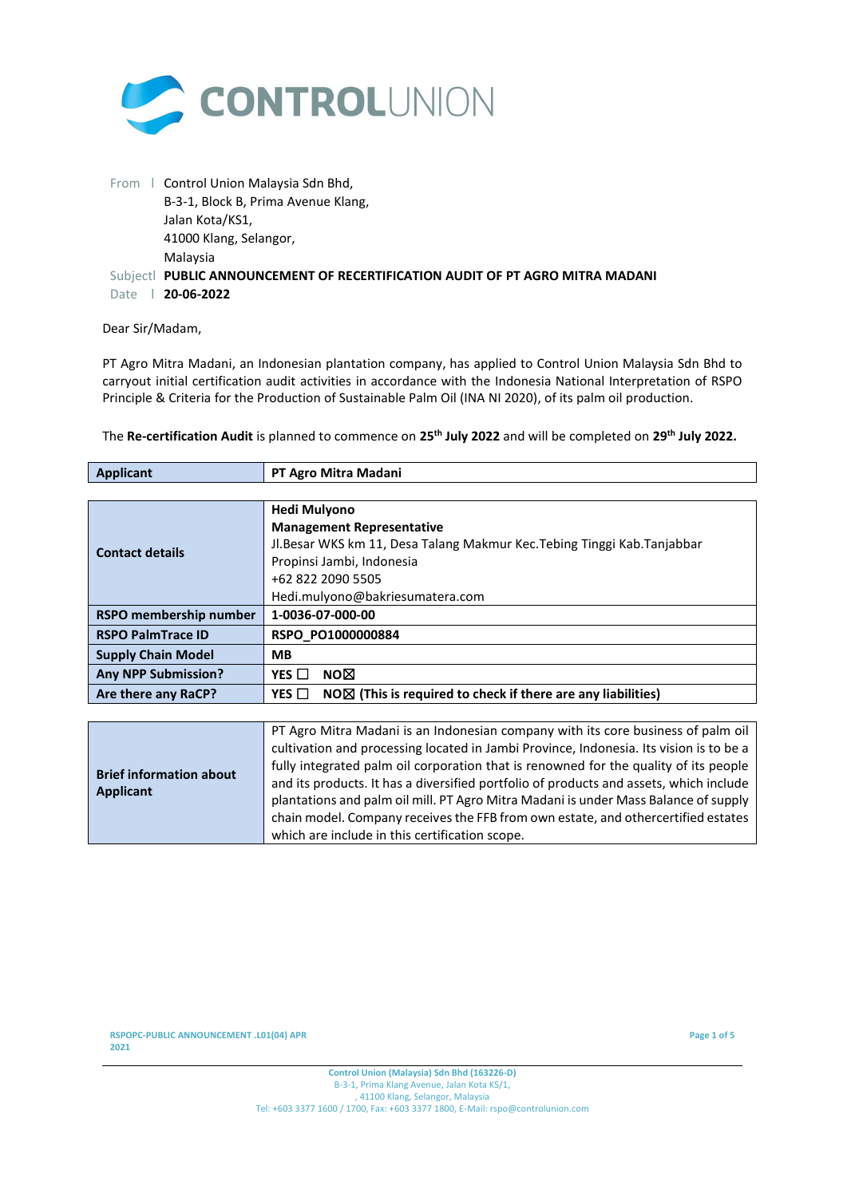

|      | From   Control Union Malaysia Sdn Bhd,                                        |
|------|-------------------------------------------------------------------------------|
|      | B-3-1, Block B, Prima Avenue Klang,                                           |
|      | Jalan Kota/KS1,                                                               |
|      | 41000 Klang, Selangor,                                                        |
|      | Malaysia                                                                      |
|      | Subjectl PUBLIC ANNOUNCEMENT OF RECERTIFICATION AUDIT OF PT AGRO MITRA MADANI |
| Date | 20-06-2022                                                                    |

## Dear Sir/Madam,

PT Agro Mitra Madani, an Indonesian plantation company, has applied to Control Union Malaysia Sdn Bhd to carryout initial certification audit activities in accordance with the Indonesia National Interpretation of RSPO Principle & Criteria for the Production of Sustainable Palm Oil (INA NI 2020), of its palm oil production.

| <b>Applicant</b>           | PT Agro Mitra Madani                                                              |  |  |  |
|----------------------------|-----------------------------------------------------------------------------------|--|--|--|
|                            |                                                                                   |  |  |  |
|                            | <b>Hedi Mulyono</b>                                                               |  |  |  |
|                            | <b>Management Representative</b>                                                  |  |  |  |
| <b>Contact details</b>     | Jl.Besar WKS km 11, Desa Talang Makmur Kec.Tebing Tinggi Kab.Tanjabbar            |  |  |  |
|                            | Propinsi Jambi, Indonesia                                                         |  |  |  |
|                            | +62 822 2090 5505                                                                 |  |  |  |
|                            | Hedi.mulyono@bakriesumatera.com                                                   |  |  |  |
| RSPO membership number     | 1-0036-07-000-00                                                                  |  |  |  |
| <b>RSPO PalmTrace ID</b>   | RSPO PO1000000884                                                                 |  |  |  |
| <b>Supply Chain Model</b>  | <b>MB</b>                                                                         |  |  |  |
| <b>Any NPP Submission?</b> | NO⊠<br>YES $\Box$                                                                 |  |  |  |
| Are there any RaCP?        | $NO\Delta$ (This is required to check if there are any liabilities)<br>YES $\Box$ |  |  |  |
|                            |                                                                                   |  |  |  |

The **Re-certification Audit** is planned to commence on **25th July 2022** and will be completed on **29 th July 2022.**

|                                | PT Agro Mitra Madani is an Indonesian company with its core business of palm oil       |
|--------------------------------|----------------------------------------------------------------------------------------|
|                                | cultivation and processing located in Jambi Province, Indonesia. Its vision is to be a |
| <b>Brief information about</b> | fully integrated palm oil corporation that is renowned for the quality of its people   |
| Applicant                      | and its products. It has a diversified portfolio of products and assets, which include |
|                                | plantations and palm oil mill. PT Agro Mitra Madani is under Mass Balance of supply    |
|                                | chain model. Company receives the FFB from own estate, and othercertified estates      |
|                                | which are include in this certification scope.                                         |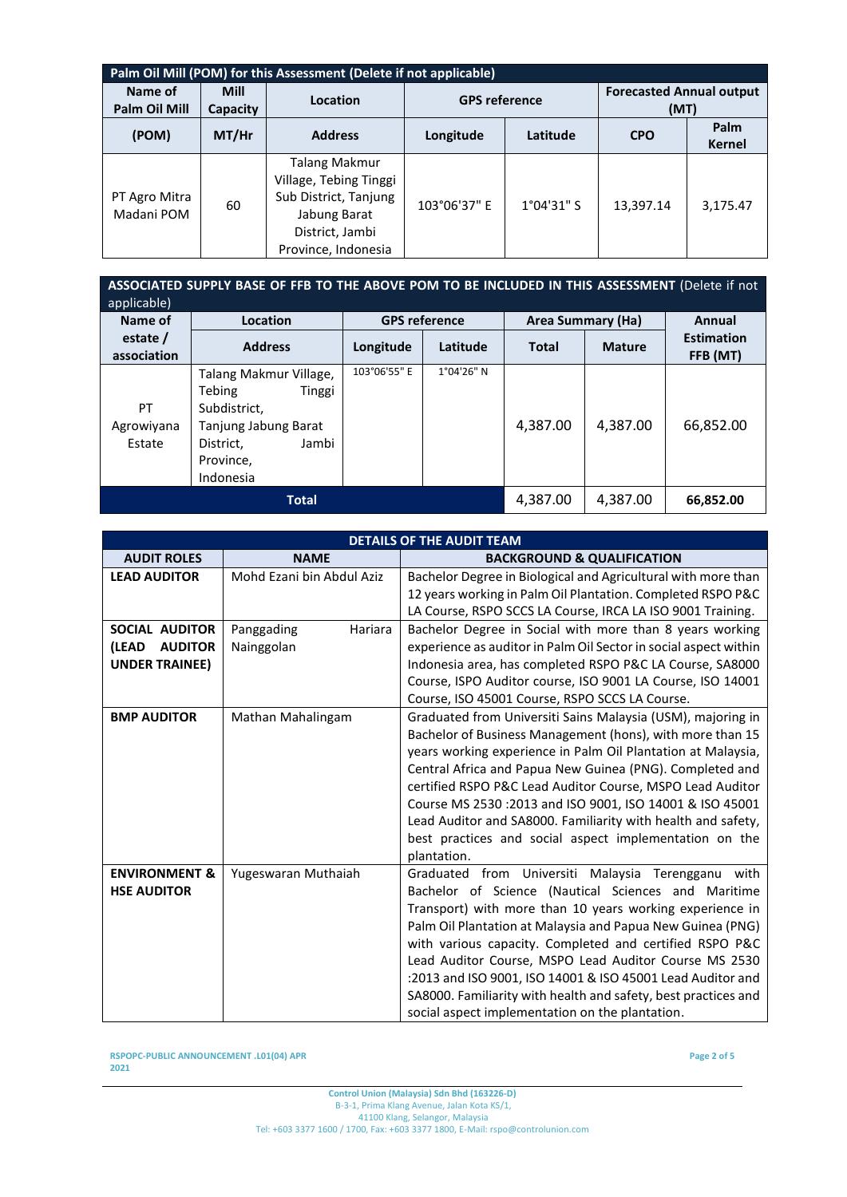| Palm Oil Mill (POM) for this Assessment (Delete if not applicable) |                         |                                                                                                                                   |                      |                      |                                         |                       |
|--------------------------------------------------------------------|-------------------------|-----------------------------------------------------------------------------------------------------------------------------------|----------------------|----------------------|-----------------------------------------|-----------------------|
| Name of<br><b>Palm Oil Mill</b>                                    | <b>Mill</b><br>Capacity | Location                                                                                                                          | <b>GPS reference</b> |                      | <b>Forecasted Annual output</b><br>(MT) |                       |
| (POM)                                                              | $MT/$ Hr                | <b>Address</b>                                                                                                                    | Longitude            | Latitude             | <b>CPO</b>                              | Palm<br><b>Kernel</b> |
| PT Agro Mitra<br>Madani POM                                        | 60                      | <b>Talang Makmur</b><br>Village, Tebing Tinggi<br>Sub District, Tanjung<br>Jabung Barat<br>District, Jambi<br>Province, Indonesia | 103°06'37" E         | $1^{\circ}04'31''$ S | 13,397.14                               | 3,175.47              |

| ASSOCIATED SUPPLY BASE OF FFB TO THE ABOVE POM TO BE INCLUDED IN THIS ASSESSMENT (Delete if not<br>applicable) |                                                                                                                                    |                      |            |                   |               |                               |
|----------------------------------------------------------------------------------------------------------------|------------------------------------------------------------------------------------------------------------------------------------|----------------------|------------|-------------------|---------------|-------------------------------|
| Name of                                                                                                        | Location                                                                                                                           | <b>GPS reference</b> |            | Area Summary (Ha) |               | Annual                        |
| estate /<br>association                                                                                        | <b>Address</b>                                                                                                                     | Longitude            | Latitude   | <b>Total</b>      | <b>Mature</b> | <b>Estimation</b><br>FFB (MT) |
| PT<br>Agrowiyana<br>Estate                                                                                     | Talang Makmur Village,<br>Tebing<br>Tinggi<br>Subdistrict.<br>Tanjung Jabung Barat<br>Jambi<br>District.<br>Province,<br>Indonesia | 103°06'55" E         | 1°04'26" N | 4.387.00          | 4,387.00      | 66.852.00                     |
|                                                                                                                | <b>Total</b>                                                                                                                       |                      |            | 4,387.00          | 4,387.00      | 66,852.00                     |

| <b>DETAILS OF THE AUDIT TEAM</b>                                   |                                     |                                                                                                                                                                                                                                                                                                                                                                                                                                                                                                                                               |  |
|--------------------------------------------------------------------|-------------------------------------|-----------------------------------------------------------------------------------------------------------------------------------------------------------------------------------------------------------------------------------------------------------------------------------------------------------------------------------------------------------------------------------------------------------------------------------------------------------------------------------------------------------------------------------------------|--|
| <b>AUDIT ROLES</b>                                                 | <b>NAME</b>                         | <b>BACKGROUND &amp; QUALIFICATION</b>                                                                                                                                                                                                                                                                                                                                                                                                                                                                                                         |  |
| <b>LEAD AUDITOR</b>                                                | Mohd Ezani bin Abdul Aziz           | Bachelor Degree in Biological and Agricultural with more than<br>12 years working in Palm Oil Plantation. Completed RSPO P&C<br>LA Course, RSPO SCCS LA Course, IRCA LA ISO 9001 Training.                                                                                                                                                                                                                                                                                                                                                    |  |
| SOCIAL AUDITOR<br>(LEAD<br><b>AUDITOR</b><br><b>UNDER TRAINEE)</b> | Hariara<br>Panggading<br>Nainggolan | Bachelor Degree in Social with more than 8 years working<br>experience as auditor in Palm Oil Sector in social aspect within<br>Indonesia area, has completed RSPO P&C LA Course, SA8000<br>Course, ISPO Auditor course, ISO 9001 LA Course, ISO 14001<br>Course, ISO 45001 Course, RSPO SCCS LA Course.                                                                                                                                                                                                                                      |  |
| <b>BMP AUDITOR</b>                                                 | Mathan Mahalingam                   | Graduated from Universiti Sains Malaysia (USM), majoring in<br>Bachelor of Business Management (hons), with more than 15<br>years working experience in Palm Oil Plantation at Malaysia,<br>Central Africa and Papua New Guinea (PNG). Completed and<br>certified RSPO P&C Lead Auditor Course, MSPO Lead Auditor<br>Course MS 2530 : 2013 and ISO 9001, ISO 14001 & ISO 45001<br>Lead Auditor and SA8000. Familiarity with health and safety,<br>best practices and social aspect implementation on the<br>plantation.                       |  |
| <b>ENVIRONMENT &amp;</b><br><b>HSE AUDITOR</b>                     | Yugeswaran Muthaiah                 | Graduated from Universiti Malaysia Terengganu<br>with<br>Bachelor of Science (Nautical Sciences and Maritime<br>Transport) with more than 10 years working experience in<br>Palm Oil Plantation at Malaysia and Papua New Guinea (PNG)<br>with various capacity. Completed and certified RSPO P&C<br>Lead Auditor Course, MSPO Lead Auditor Course MS 2530<br>:2013 and ISO 9001, ISO 14001 & ISO 45001 Lead Auditor and<br>SA8000. Familiarity with health and safety, best practices and<br>social aspect implementation on the plantation. |  |

**RSPOPC-PUBLIC ANNOUNCEMENT .L01(04) APR 2021**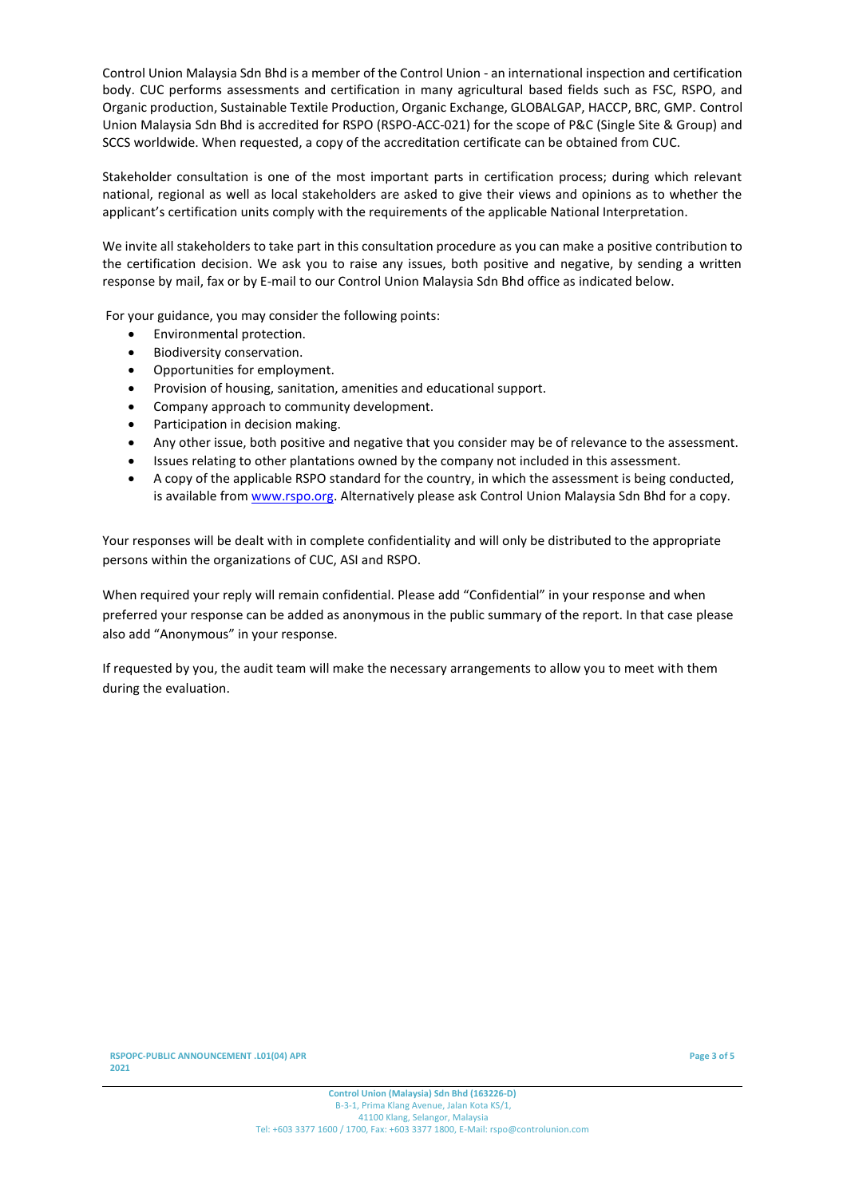Control Union Malaysia Sdn Bhd is a member of the Control Union - an international inspection and certification body. CUC performs assessments and certification in many agricultural based fields such as FSC, RSPO, and Organic production, Sustainable Textile Production, Organic Exchange, GLOBALGAP, HACCP, BRC, GMP. Control Union Malaysia Sdn Bhd is accredited for RSPO (RSPO-ACC-021) for the scope of P&C (Single Site & Group) and SCCS worldwide. When requested, a copy of the accreditation certificate can be obtained from CUC.

Stakeholder consultation is one of the most important parts in certification process; during which relevant national, regional as well as local stakeholders are asked to give their views and opinions as to whether the applicant's certification units comply with the requirements of the applicable National Interpretation.

We invite all stakeholders to take part in this consultation procedure as you can make a positive contribution to the certification decision. We ask you to raise any issues, both positive and negative, by sending a written response by mail, fax or by E-mail to our Control Union Malaysia Sdn Bhd office as indicated below.

For your guidance, you may consider the following points:

- Environmental protection.
- Biodiversity conservation.
- Opportunities for employment.
- Provision of housing, sanitation, amenities and educational support.
- Company approach to community development.
- Participation in decision making.
- Any other issue, both positive and negative that you consider may be of relevance to the assessment.
- Issues relating to other plantations owned by the company not included in this assessment.
- A copy of the applicable RSPO standard for the country, in which the assessment is being conducted, is available from [www.rspo.org.](http://www.rspo.org/) Alternatively please ask Control Union Malaysia Sdn Bhd for a copy.

Your responses will be dealt with in complete confidentiality and will only be distributed to the appropriate persons within the organizations of CUC, ASI and RSPO.

When required your reply will remain confidential. Please add "Confidential" in your response and when preferred your response can be added as anonymous in the public summary of the report. In that case please also add "Anonymous" in your response.

If requested by you, the audit team will make the necessary arrangements to allow you to meet with them during the evaluation.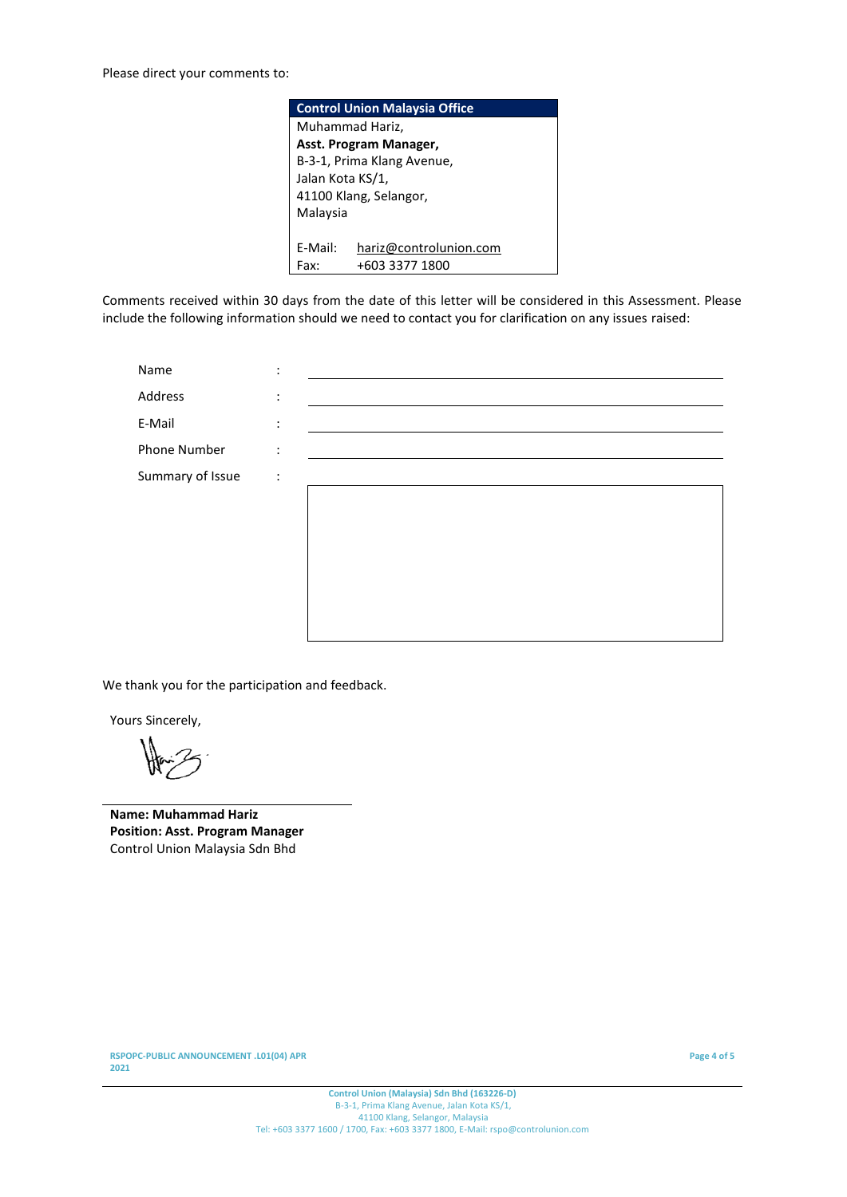| <b>Control Union Malaysia Office</b> |                            |  |  |  |
|--------------------------------------|----------------------------|--|--|--|
|                                      | Muhammad Hariz,            |  |  |  |
|                                      | Asst. Program Manager,     |  |  |  |
|                                      | B-3-1, Prima Klang Avenue, |  |  |  |
|                                      | Jalan Kota KS/1,           |  |  |  |
| 41100 Klang, Selangor,               |                            |  |  |  |
| Malaysia                             |                            |  |  |  |
|                                      |                            |  |  |  |
| F-Mail:                              | hariz@controlunion.com     |  |  |  |
| Fax <sup>.</sup>                     | +603 3377 1800             |  |  |  |

Comments received within 30 days from the date of this letter will be considered in this Assessment. Please include the following information should we need to contact you for clarification on any issues raised:

| Name             | ٠<br>$\bullet$ |  |
|------------------|----------------|--|
| Address          | $\ddot{\cdot}$ |  |
| E-Mail           | $\ddot{\cdot}$ |  |
| Phone Number     | $\ddot{\cdot}$ |  |
| Summary of Issue | $\ddot{\cdot}$ |  |
|                  |                |  |
|                  |                |  |
|                  |                |  |
|                  |                |  |
|                  |                |  |
|                  |                |  |

We thank you for the participation and feedback.

Yours Sincerely,

**Name: Muhammad Hariz Position: Asst. Program Manager** Control Union Malaysia Sdn Bhd